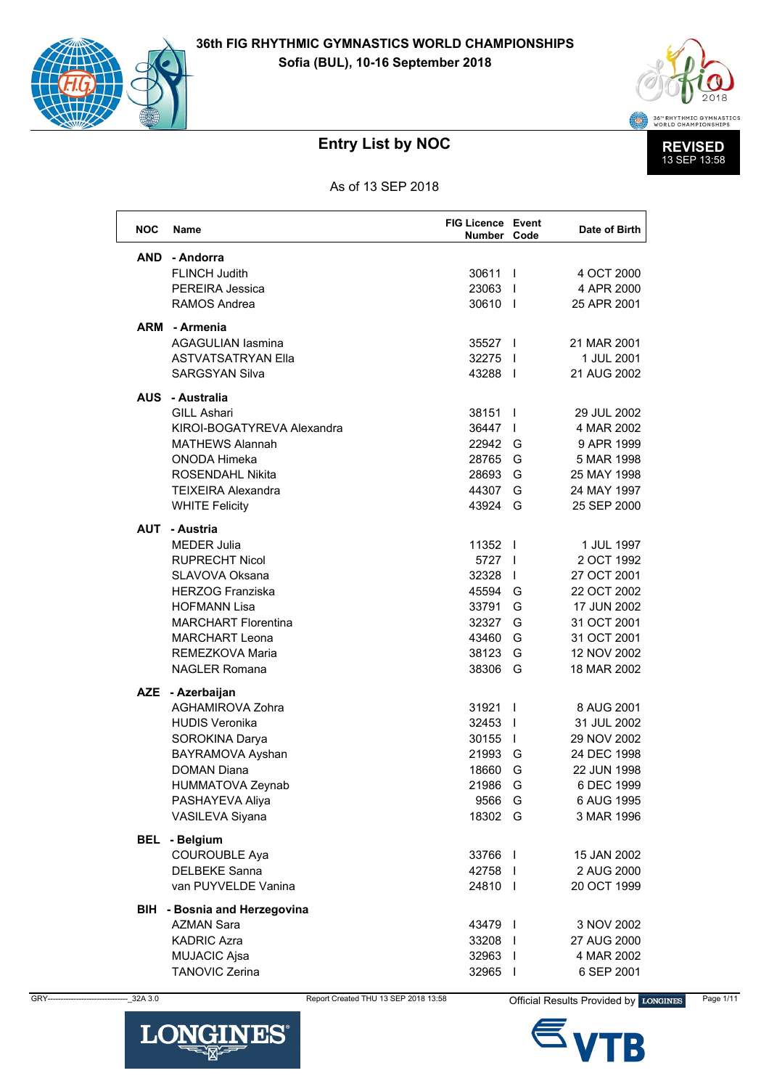



As of 13 SEP 2018

| <b>NOC</b> | <b>Name</b>                                  | <b>FIG Licence Event</b><br>Number Code |                          | Date of Birth |
|------------|----------------------------------------------|-----------------------------------------|--------------------------|---------------|
| AND        | - Andorra                                    |                                         |                          |               |
|            | <b>FLINCH Judith</b>                         | 30611                                   | $\overline{\phantom{a}}$ | 4 OCT 2000    |
|            | PEREIRA Jessica                              | 23063                                   |                          | 4 APR 2000    |
|            | <b>RAMOS Andrea</b>                          | 30610                                   |                          | 25 APR 2001   |
|            | ARM - Armenia                                |                                         |                          |               |
|            | <b>AGAGULIAN lasmina</b>                     | 35527                                   |                          | 21 MAR 2001   |
|            | <b>ASTVATSATRYAN Ella</b>                    | 32275                                   | $\blacksquare$           | 1 JUL 2001    |
|            | <b>SARGSYAN Silva</b>                        | 43288 1                                 |                          | 21 AUG 2002   |
|            | - Australia                                  |                                         |                          |               |
| <b>AUS</b> | <b>GILL Ashari</b>                           | 38151                                   | $\mathbf{I}$             | 29 JUL 2002   |
|            | KIROI-BOGATYREVA Alexandra                   | 36447                                   | $\mathbf{I}$             | 4 MAR 2002    |
|            | <b>MATHEWS Alannah</b>                       | 22942                                   | G                        | 9 APR 1999    |
|            | <b>ONODA Himeka</b>                          | 28765                                   | G                        | 5 MAR 1998    |
|            | <b>ROSENDAHL Nikita</b>                      | 28693                                   | G                        | 25 MAY 1998   |
|            | <b>TEIXEIRA Alexandra</b>                    | 44307                                   | G                        | 24 MAY 1997   |
|            | <b>WHITE Felicity</b>                        | 43924                                   | G                        | 25 SEP 2000   |
|            |                                              |                                         |                          |               |
| AUT        | - Austria<br><b>MEDER Julia</b>              | 11352                                   | $\overline{\phantom{a}}$ | 1 JUL 1997    |
|            | <b>RUPRECHT Nicol</b>                        | 5727                                    | $\mathbf{I}$             | 2 OCT 1992    |
|            | SLAVOVA Oksana                               | 32328                                   | $\mathbf{I}$             | 27 OCT 2001   |
|            | <b>HERZOG Franziska</b>                      | 45594                                   | G                        | 22 OCT 2002   |
|            | <b>HOFMANN Lisa</b>                          | 33791                                   | G                        | 17 JUN 2002   |
|            | <b>MARCHART Florentina</b>                   | 32327                                   | G                        | 31 OCT 2001   |
|            | <b>MARCHART Leona</b>                        | 43460                                   | G                        | 31 OCT 2001   |
|            | REMEZKOVA Maria                              | 38123                                   | G                        | 12 NOV 2002   |
|            | <b>NAGLER Romana</b>                         | 38306                                   | G                        | 18 MAR 2002   |
| <b>AZE</b> |                                              |                                         |                          |               |
|            | - Azerbaijan<br><b>AGHAMIROVA Zohra</b>      | 31921                                   | $\mathbf{I}$             | 8 AUG 2001    |
|            | <b>HUDIS Veronika</b>                        | 32453                                   | $\overline{\phantom{a}}$ | 31 JUL 2002   |
|            | SOROKINA Darya                               | 30155                                   | $\mathbf{I}$             | 29 NOV 2002   |
|            | BAYRAMOVA Ayshan                             | 21993                                   | G                        | 24 DEC 1998   |
|            | <b>DOMAN Diana</b>                           | 18660                                   | G                        | 22 JUN 1998   |
|            | <b>HUMMATOVA Zeynab</b>                      | 21986                                   | G                        | 6 DEC 1999    |
|            | PASHAYEVA Aliya                              | 9566                                    | G                        | 6 AUG 1995    |
|            | VASILEVA Siyana                              | 18302                                   | G                        | 3 MAR 1996    |
|            |                                              |                                         |                          |               |
| BEL        | - Belgium                                    |                                         |                          |               |
|            | <b>COUROUBLE Aya</b><br><b>DELBEKE Sanna</b> | 33766                                   | $\blacksquare$           | 15 JAN 2002   |
|            | van PUYVELDE Vanina                          | 42758 l<br>24810                        |                          | 2 AUG 2000    |
|            |                                              |                                         |                          | 20 OCT 1999   |
|            | <b>BIH</b> - Bosnia and Herzegovina          |                                         |                          |               |
|            | <b>AZMAN Sara</b>                            | 43479                                   |                          | 3 NOV 2002    |
|            | <b>KADRIC Azra</b>                           | 33208 l                                 |                          | 27 AUG 2000   |
|            | <b>MUJACIC Ajsa</b>                          | 32963 l                                 |                          | 4 MAR 2002    |
|            | <b>TANOVIC Zerina</b>                        | 32965                                   | $\mathbf{I}$             | 6 SEP 2001    |





Official Results Provided by LONGINES

Page 1/11



 $-32A3.0$ 

GRY-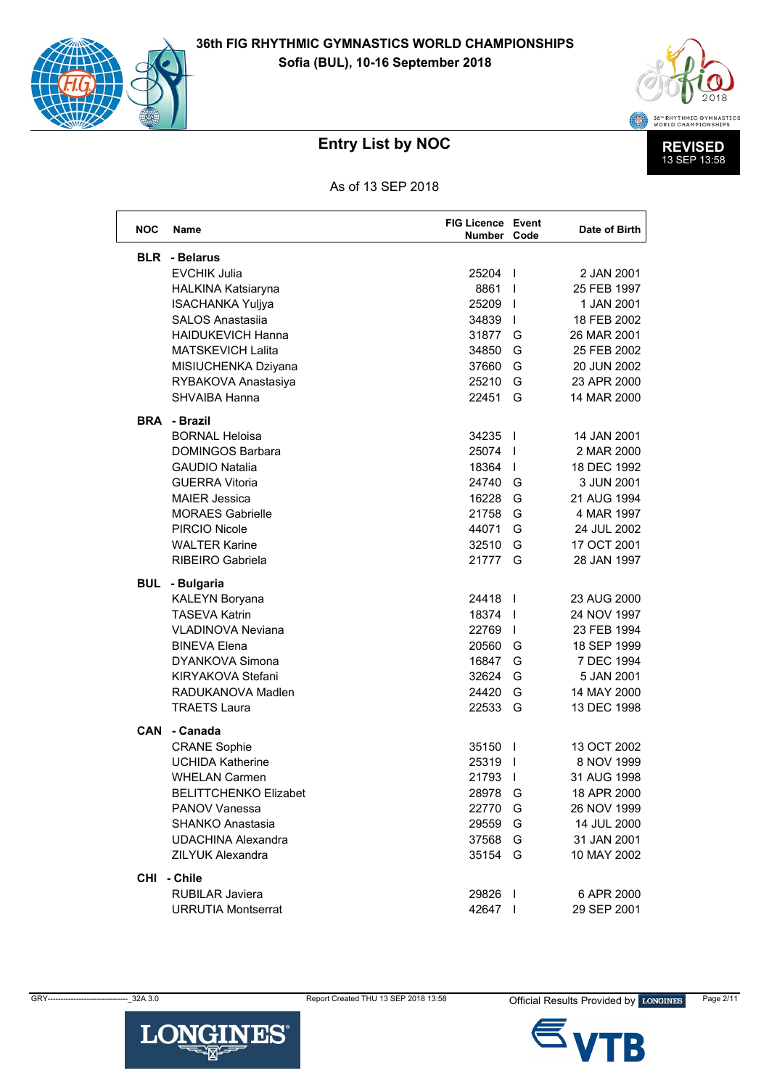



As of 13 SEP 2018

| <b>NOC</b> | Name                                          | <b>FIG Licence Event</b><br>Number Code |                          | Date of Birth |
|------------|-----------------------------------------------|-----------------------------------------|--------------------------|---------------|
| <b>BLR</b> | - Belarus                                     |                                         |                          |               |
|            | <b>EVCHIK Julia</b>                           | 25204                                   | $\mathbf{I}$             | 2 JAN 2001    |
|            | <b>HALKINA Katsiaryna</b>                     | 8861                                    | $\mathbf{I}$             | 25 FEB 1997   |
|            | <b>ISACHANKA Yuljya</b>                       | 25209                                   | $\mathbf{I}$             | 1 JAN 2001    |
|            | <b>SALOS Anastasiia</b>                       | 34839                                   | $\mathbf{I}$             | 18 FEB 2002   |
|            | <b>HAIDUKEVICH Hanna</b>                      | 31877                                   | G                        | 26 MAR 2001   |
|            | <b>MATSKEVICH Lalita</b>                      | 34850                                   | G                        | 25 FEB 2002   |
|            | MISIUCHENKA Dziyana                           | 37660                                   | G                        | 20 JUN 2002   |
|            | RYBAKOVA Anastasiya                           | 25210                                   | G                        | 23 APR 2000   |
|            | <b>SHVAIBA Hanna</b>                          | 22451                                   | G                        | 14 MAR 2000   |
| <b>BRA</b> | - Brazil                                      |                                         |                          |               |
|            | <b>BORNAL Heloisa</b>                         | 34235                                   | $\overline{\phantom{a}}$ | 14 JAN 2001   |
|            | <b>DOMINGOS Barbara</b>                       | 25074                                   | $\overline{\phantom{a}}$ | 2 MAR 2000    |
|            | <b>GAUDIO Natalia</b>                         | 18364                                   | $\mathbf{I}$             | 18 DEC 1992   |
|            | <b>GUERRA Vitoria</b>                         | 24740                                   | G                        | 3 JUN 2001    |
|            | <b>MAIER Jessica</b>                          | 16228                                   | G                        | 21 AUG 1994   |
|            | <b>MORAES Gabrielle</b>                       | 21758                                   | G                        | 4 MAR 1997    |
|            | PIRCIO Nicole                                 | 44071                                   | G                        | 24 JUL 2002   |
|            | <b>WALTER Karine</b>                          | 32510                                   | G                        | 17 OCT 2001   |
|            | RIBEIRO Gabriela                              | 21777                                   | G                        | 28 JAN 1997   |
| BUL        | - Bulgaria                                    |                                         |                          |               |
|            | <b>KALEYN Boryana</b>                         | 24418                                   | $\mathbf{I}$             | 23 AUG 2000   |
|            | <b>TASEVA Katrin</b>                          | 18374                                   | $\mathbf{I}$             | 24 NOV 1997   |
|            | <b>VLADINOVA Neviana</b>                      | 22769                                   | $\mathbf{I}$             | 23 FEB 1994   |
|            | <b>BINEVA Elena</b>                           | 20560                                   | G                        | 18 SEP 1999   |
|            | <b>DYANKOVA Simona</b>                        | 16847                                   | G                        | 7 DEC 1994    |
|            | KIRYAKOVA Stefani                             | 32624                                   | G                        | 5 JAN 2001    |
|            | RADUKANOVA Madlen                             | 24420                                   | G                        | 14 MAY 2000   |
|            | <b>TRAETS Laura</b>                           | 22533                                   | G                        | 13 DEC 1998   |
| <b>CAN</b> | - Canada                                      |                                         |                          |               |
|            | <b>CRANE Sophie</b>                           | 35150                                   | $\mathbf{I}$             | 13 OCT 2002   |
|            | <b>UCHIDA Katherine</b>                       | 25319                                   | $\mathbf{I}$             | 8 NOV 1999    |
|            | <b>WHELAN Carmen</b>                          | 21793                                   | $\mathbf{I}$             | 31 AUG 1998   |
|            | <b>BELITTCHENKO Elizabet</b>                  | 28978                                   | G                        | 18 APR 2000   |
|            | <b>PANOV Vanessa</b>                          | 22770                                   | G                        | 26 NOV 1999   |
|            | SHANKO Anastasia<br><b>UDACHINA Alexandra</b> | 29559                                   | G                        | 14 JUL 2000   |
|            |                                               | 37568                                   | G                        | 31 JAN 2001   |
|            | <b>ZILYUK Alexandra</b>                       | 35154                                   | G                        | 10 MAY 2002   |
|            | CHI - Chile                                   |                                         |                          |               |
|            | <b>RUBILAR Javiera</b>                        | 29826                                   | $\mathbf{I}$             | 6 APR 2000    |
|            | <b>URRUTIA Montserrat</b>                     | 42647                                   |                          | 29 SEP 2001   |



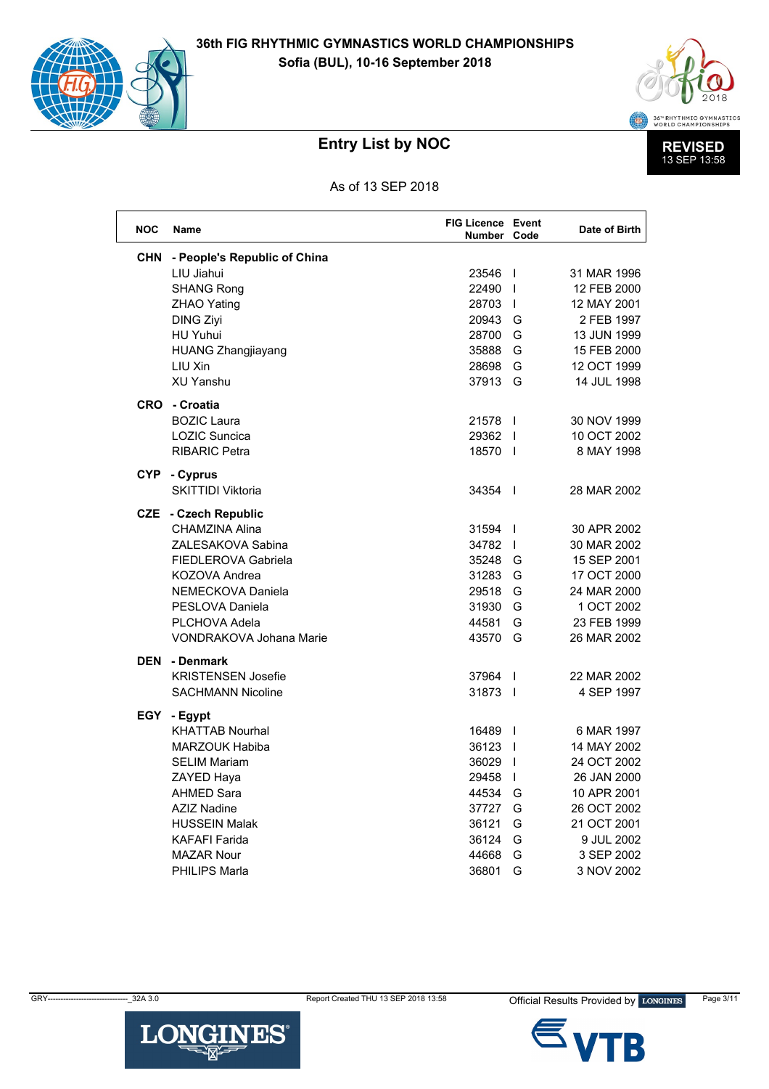



As of 13 SEP 2018

| <b>NOC</b> | Name                           | <b>FIG Licence Event</b><br>Number Code |                          | Date of Birth |
|------------|--------------------------------|-----------------------------------------|--------------------------|---------------|
| <b>CHN</b> | - People's Republic of China   |                                         |                          |               |
|            | LIU Jiahui                     | 23546                                   | $\blacksquare$           | 31 MAR 1996   |
|            | <b>SHANG Rong</b>              | 22490                                   | $\overline{1}$           | 12 FEB 2000   |
|            | <b>ZHAO Yating</b>             | 28703                                   | $\mathsf{I}$             | 12 MAY 2001   |
|            | <b>DING Ziyi</b>               | 20943                                   | G                        | 2 FEB 1997    |
|            | <b>HU Yuhui</b>                | 28700                                   | G                        | 13 JUN 1999   |
|            | <b>HUANG Zhangjiayang</b>      | 35888                                   | G                        | 15 FEB 2000   |
|            | LIU Xin                        | 28698                                   | G                        | 12 OCT 1999   |
|            | <b>XU Yanshu</b>               | 37913                                   | G                        | 14 JUL 1998   |
| <b>CRO</b> | - Croatia                      |                                         |                          |               |
|            | <b>BOZIC Laura</b>             | 21578                                   | $\mathbf{I}$             | 30 NOV 1999   |
|            | <b>LOZIC Suncica</b>           | 29362                                   | $\overline{\phantom{a}}$ | 10 OCT 2002   |
|            | <b>RIBARIC Petra</b>           | 18570                                   | $\blacksquare$           | 8 MAY 1998    |
| CYP.       | - Cyprus                       |                                         |                          |               |
|            | SKITTIDI Viktoria              | 34354                                   | $\mathbf{I}$             | 28 MAR 2002   |
| CZE.       | - Czech Republic               |                                         |                          |               |
|            | CHAMZINA Alina                 | 31594                                   | $\blacksquare$           | 30 APR 2002   |
|            | ZALESAKOVA Sabina              | 34782                                   | $\mathsf{I}$             | 30 MAR 2002   |
|            | <b>FIEDLEROVA Gabriela</b>     | 35248                                   | G                        | 15 SEP 2001   |
|            | KOZOVA Andrea                  | 31283                                   | G                        | 17 OCT 2000   |
|            | <b>NEMECKOVA Daniela</b>       | 29518                                   | G                        | 24 MAR 2000   |
|            | PESLOVA Daniela                | 31930                                   | G                        | 1 OCT 2002    |
|            | <b>PLCHOVA Adela</b>           | 44581                                   | G                        | 23 FEB 1999   |
|            | <b>VONDRAKOVA Johana Marie</b> | 43570                                   | G                        | 26 MAR 2002   |
| <b>DEN</b> | - Denmark                      |                                         |                          |               |
|            | <b>KRISTENSEN Josefie</b>      | 37964                                   | $\perp$                  | 22 MAR 2002   |
|            | <b>SACHMANN Nicoline</b>       | 31873                                   | $\mathbf{I}$             | 4 SEP 1997    |
| EGY        | - Egypt                        |                                         |                          |               |
|            | <b>KHATTAB Nourhal</b>         | 16489                                   | $\blacksquare$           | 6 MAR 1997    |
|            | <b>MARZOUK Habiba</b>          | 36123                                   | $\blacksquare$           | 14 MAY 2002   |
|            | <b>SELIM Mariam</b>            | 36029                                   | $\overline{1}$           | 24 OCT 2002   |
|            | ZAYED Haya                     | 29458                                   | $\mathbf{I}$             | 26 JAN 2000   |
|            | <b>AHMED Sara</b>              | 44534                                   | G                        | 10 APR 2001   |
|            | <b>AZIZ Nadine</b>             | 37727                                   | G                        | 26 OCT 2002   |
|            | <b>HUSSEIN Malak</b>           | 36121                                   | G                        | 21 OCT 2001   |
|            | <b>KAFAFI Farida</b>           | 36124                                   | G                        | 9 JUL 2002    |
|            | <b>MAZAR Nour</b>              | 44668                                   | G                        | 3 SEP 2002    |
|            | <b>PHILIPS Marla</b>           | 36801                                   | G                        | 3 NOV 2002    |



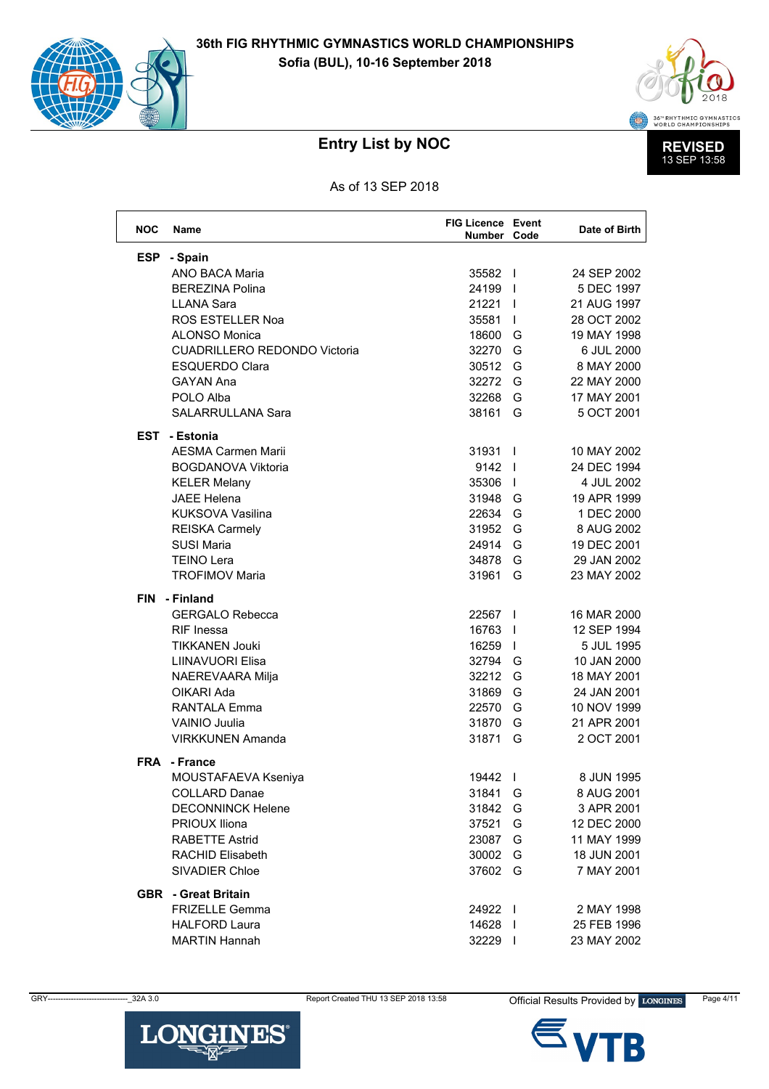



As of 13 SEP 2018

| <b>NOC</b> | <b>Name</b>                         | <b>FIG Licence Event</b><br>Number Code |                | Date of Birth |
|------------|-------------------------------------|-----------------------------------------|----------------|---------------|
| <b>ESP</b> | - Spain                             |                                         |                |               |
|            | <b>ANO BACA Maria</b>               | 35582                                   |                | 24 SEP 2002   |
|            | <b>BEREZINA Polina</b>              | 24199                                   | $\blacksquare$ | 5 DEC 1997    |
|            | <b>LLANA Sara</b>                   | $21221$                                 |                | 21 AUG 1997   |
|            | <b>ROS ESTELLER Noa</b>             | 35581                                   | $\perp$        | 28 OCT 2002   |
|            | <b>ALONSO Monica</b>                | 18600                                   | G              | 19 MAY 1998   |
|            | <b>CUADRILLERO REDONDO Victoria</b> | 32270                                   | G              | 6 JUL 2000    |
|            | <b>ESQUERDO Clara</b>               | 30512 G                                 |                | 8 MAY 2000    |
|            | <b>GAYAN Ana</b>                    | 32272 G                                 |                | 22 MAY 2000   |
|            | POLO Alba                           | 32268                                   | G              | 17 MAY 2001   |
|            | <b>SALARRULLANA Sara</b>            | 38161                                   | G              | 5 OCT 2001    |
|            | <b>EST - Estonia</b>                |                                         |                |               |
|            | <b>AESMA Carmen Marii</b>           | 31931                                   | $\overline{1}$ | 10 MAY 2002   |
|            | <b>BOGDANOVA Viktoria</b>           | 9142                                    |                | 24 DEC 1994   |
|            | <b>KELER Melany</b>                 | 35306                                   |                | 4 JUL 2002    |
|            | <b>JAEE Helena</b>                  | 31948 G                                 |                | 19 APR 1999   |
|            | <b>KUKSOVA Vasilina</b>             | 22634                                   | G              | 1 DEC 2000    |
|            | <b>REISKA Carmely</b>               | 31952 G                                 |                | 8 AUG 2002    |
|            | <b>SUSI Maria</b>                   | 24914                                   | G              | 19 DEC 2001   |
|            | <b>TEINO Lera</b>                   | 34878                                   | G              | 29 JAN 2002   |
|            | <b>TROFIMOV Maria</b>               | 31961                                   | G              | 23 MAY 2002   |
|            | FIN - Finland                       |                                         |                |               |
|            | <b>GERGALO Rebecca</b>              | 22567 1                                 |                | 16 MAR 2000   |
|            | <b>RIF</b> Inessa                   | 16763                                   | $\blacksquare$ | 12 SEP 1994   |
|            | <b>TIKKANEN Jouki</b>               | 16259                                   |                | 5 JUL 1995    |
|            | <b>LIINAVUORI Elisa</b>             | 32794 G                                 |                | 10 JAN 2000   |
|            | NAEREVAARA Milja                    | 32212 G                                 |                | 18 MAY 2001   |
|            | OIKARI Ada                          | 31869                                   | G              | 24 JAN 2001   |
|            | <b>RANTALA Emma</b>                 | 22570                                   | G              | 10 NOV 1999   |
|            | VAINIO Juulia                       | 31870                                   | G              | 21 APR 2001   |
|            | <b>VIRKKUNEN Amanda</b>             | 31871                                   | G              | 2 OCT 2001    |
|            | <b>FRA</b> - France                 |                                         |                |               |
|            | MOUSTAFAEVA Kseniya                 | 19442                                   | $\mathbf{I}$   | 8 JUN 1995    |
|            | COLLARD Danae                       | 31841 G                                 |                | 8 AUG 2001    |
|            | <b>DECONNINCK Helene</b>            | 31842 G                                 |                | 3 APR 2001    |
|            | PRIOUX Iliona                       | 37521 G                                 |                | 12 DEC 2000   |
|            | <b>RABETTE Astrid</b>               | 23087 G                                 |                | 11 MAY 1999   |
|            | <b>RACHID Elisabeth</b>             | 30002 G                                 |                | 18 JUN 2001   |
|            | SIVADIER Chloe                      | 37602 G                                 |                | 7 MAY 2001    |
|            | <b>GBR</b> - Great Britain          |                                         |                |               |
|            | <b>FRIZELLE Gemma</b>               | 24922 l                                 |                | 2 MAY 1998    |
|            | <b>HALFORD Laura</b>                | 14628                                   |                | 25 FEB 1996   |
|            | <b>MARTIN Hannah</b>                | 32229 l                                 |                | 23 MAY 2002   |

GRY-



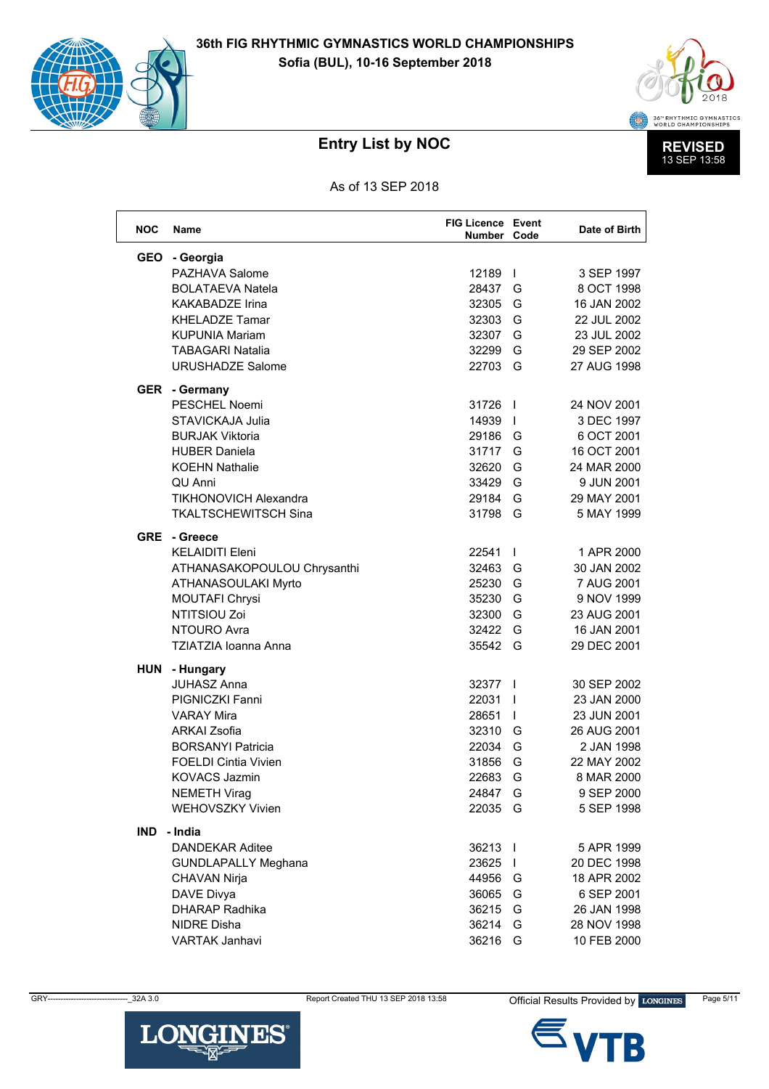



As of 13 SEP 2018

| <b>NOC</b> | Name                         | <b>FIG Licence Event</b><br>Number Code |                          | Date of Birth |
|------------|------------------------------|-----------------------------------------|--------------------------|---------------|
| <b>GEO</b> | - Georgia                    |                                         |                          |               |
|            | PAZHAVA Salome               | 12189                                   | $\mathbf{I}$             | 3 SEP 1997    |
|            | <b>BOLATAEVA Natela</b>      | 28437                                   | G                        | 8 OCT 1998    |
|            | <b>KAKABADZE Irina</b>       | 32305                                   | G                        | 16 JAN 2002   |
|            | <b>KHELADZE Tamar</b>        | 32303                                   | G                        | 22 JUL 2002   |
|            | <b>KUPUNIA Mariam</b>        | 32307                                   | G                        | 23 JUL 2002   |
|            | <b>TABAGARI Natalia</b>      | 32299                                   | G                        | 29 SEP 2002   |
|            | <b>URUSHADZE Salome</b>      | 22703                                   | G                        | 27 AUG 1998   |
|            | <b>GER</b> - Germany         |                                         |                          |               |
|            | PESCHEL Noemi                | 31726                                   | $\perp$                  | 24 NOV 2001   |
|            | STAVICKAJA Julia             | 14939                                   | $\mathbf{I}$             | 3 DEC 1997    |
|            | <b>BURJAK Viktoria</b>       | 29186                                   | G                        | 6 OCT 2001    |
|            | <b>HUBER Daniela</b>         | 31717                                   | G                        | 16 OCT 2001   |
|            | <b>KOEHN Nathalie</b>        | 32620                                   | G                        | 24 MAR 2000   |
|            | QU Anni                      | 33429                                   | G                        | 9 JUN 2001    |
|            | <b>TIKHONOVICH Alexandra</b> | 29184                                   | G                        | 29 MAY 2001   |
|            | <b>TKALTSCHEWITSCH Sina</b>  | 31798                                   | G                        | 5 MAY 1999    |
|            | GRE - Greece                 |                                         |                          |               |
|            | <b>KELAIDITI Eleni</b>       | 22541                                   | $\mathbf{I}$             | 1 APR 2000    |
|            | ATHANASAKOPOULOU Chrysanthi  | 32463                                   | G                        | 30 JAN 2002   |
|            | ATHANASOULAKI Myrto          | 25230                                   | G                        | 7 AUG 2001    |
|            | MOUTAFI Chrysi               | 35230                                   | G                        | 9 NOV 1999    |
|            | NTITSIOU Zoi                 | 32300                                   | G                        | 23 AUG 2001   |
|            | NTOURO Avra                  | 32422                                   | G                        | 16 JAN 2001   |
|            | <b>TZIATZIA Ioanna Anna</b>  | 35542                                   | G                        | 29 DEC 2001   |
| HUN        | - Hungary                    |                                         |                          |               |
|            | <b>JUHASZ Anna</b>           | 32377 l                                 |                          | 30 SEP 2002   |
|            | <b>PIGNICZKI Fanni</b>       | 22031                                   | $\overline{\phantom{a}}$ | 23 JAN 2000   |
|            | <b>VARAY Mira</b>            | 28651                                   | $\perp$                  | 23 JUN 2001   |
|            | <b>ARKAI Zsofia</b>          | 32310                                   | G                        | 26 AUG 2001   |
|            | <b>BORSANYI Patricia</b>     | 22034                                   | G                        | 2 JAN 1998    |
|            | <b>FOELDI Cintia Vivien</b>  | 31856                                   | G                        | 22 MAY 2002   |
|            | <b>KOVACS Jazmin</b>         | 22683                                   | G                        | 8 MAR 2000    |
|            | <b>NEMETH Virag</b>          | 24847 G                                 |                          | 9 SEP 2000    |
|            | <b>WEHOVSZKY Vivien</b>      | 22035 G                                 |                          | 5 SEP 1998    |
| <b>IND</b> | - India                      |                                         |                          |               |
|            | <b>DANDEKAR Aditee</b>       | 36213                                   |                          | 5 APR 1999    |
|            | <b>GUNDLAPALLY Meghana</b>   | 23625                                   |                          | 20 DEC 1998   |
|            | CHAVAN Nirja                 | 44956 G                                 |                          | 18 APR 2002   |
|            | DAVE Divya                   | 36065 G                                 |                          | 6 SEP 2001    |
|            | DHARAP Radhika               | 36215 G                                 |                          | 26 JAN 1998   |
|            | <b>NIDRE Disha</b>           | 36214 G                                 |                          | 28 NOV 1998   |
|            | <b>VARTAK Janhavi</b>        | 36216 G                                 |                          | 10 FEB 2000   |

Report Created THU 13 SEP 2018 13:58

GRY-



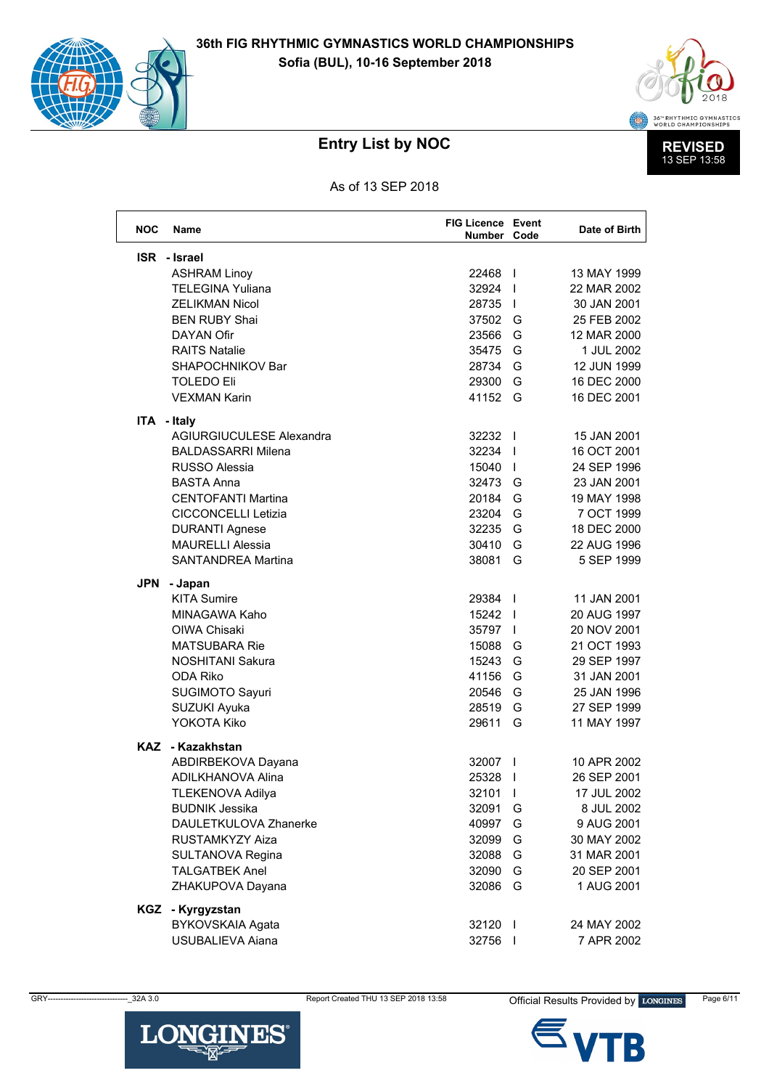



As of 13 SEP 2018

| <b>NOC</b> | <b>Name</b>                | <b>FIG Licence Event</b><br>Number Code |                | Date of Birth |
|------------|----------------------------|-----------------------------------------|----------------|---------------|
|            | <b>ISR</b> - Israel        |                                         |                |               |
|            | <b>ASHRAM Linoy</b>        | 22468                                   |                | 13 MAY 1999   |
|            | <b>TELEGINA Yuliana</b>    | 32924                                   |                | 22 MAR 2002   |
|            | <b>ZELIKMAN Nicol</b>      | 28735                                   |                | 30 JAN 2001   |
|            | <b>BEN RUBY Shai</b>       | 37502 G                                 |                | 25 FEB 2002   |
|            | <b>DAYAN Ofir</b>          | 23566                                   | G              | 12 MAR 2000   |
|            | <b>RAITS Natalie</b>       | 35475                                   | G              | 1 JUL 2002    |
|            | SHAPOCHNIKOV Bar           | 28734                                   | G              | 12 JUN 1999   |
|            | <b>TOLEDO Eli</b>          | 29300                                   | G              | 16 DEC 2000   |
|            | <b>VEXMAN Karin</b>        | 41152 G                                 |                | 16 DEC 2001   |
|            | ITA - Italy                |                                         |                |               |
|            | AGIURGIUCULESE Alexandra   | 32232                                   |                | 15 JAN 2001   |
|            | <b>BALDASSARRI Milena</b>  | 32234                                   |                | 16 OCT 2001   |
|            | <b>RUSSO Alessia</b>       | 15040                                   |                | 24 SEP 1996   |
|            | <b>BASTA Anna</b>          | 32473 G                                 |                | 23 JAN 2001   |
|            | <b>CENTOFANTI Martina</b>  | 20184                                   | G              | 19 MAY 1998   |
|            | <b>CICCONCELLI Letizia</b> | 23204                                   | G              | 7 OCT 1999    |
|            | <b>DURANTI Agnese</b>      | 32235                                   | G              | 18 DEC 2000   |
|            | <b>MAURELLI Alessia</b>    | 30410                                   | G              | 22 AUG 1996   |
|            | <b>SANTANDREA Martina</b>  | 38081                                   | G              | 5 SEP 1999    |
|            | JPN - Japan                |                                         |                |               |
|            | <b>KITA Sumire</b>         | 29384 l                                 |                | 11 JAN 2001   |
|            | MINAGAWA Kaho              | 15242                                   |                | 20 AUG 1997   |
|            | OIWA Chisaki               | 35797                                   |                | 20 NOV 2001   |
|            | <b>MATSUBARA Rie</b>       | 15088                                   | G              | 21 OCT 1993   |
|            | <b>NOSHITANI Sakura</b>    | 15243                                   | G              | 29 SEP 1997   |
|            | ODA Riko                   | 41156                                   | G              | 31 JAN 2001   |
|            | SUGIMOTO Sayuri            | 20546                                   | G              | 25 JAN 1996   |
|            | SUZUKI Ayuka               | 28519                                   | G              | 27 SEP 1999   |
|            | YOKOTA Kiko                | 29611                                   | G              | 11 MAY 1997   |
|            | KAZ - Kazakhstan           |                                         |                |               |
|            | ABDIRBEKOVA Dayana         | 32007                                   | $\overline{1}$ | 10 APR 2002   |
|            | <b>ADILKHANOVA Alina</b>   | 25328                                   | $\mathbf{I}$   | 26 SEP 2001   |
|            | <b>TLEKENOVA Adilya</b>    | 32101 l                                 |                | 17 JUL 2002   |
|            | <b>BUDNIK Jessika</b>      | 32091                                   | G              | 8 JUL 2002    |
|            | DAULETKULOVA Zhanerke      | 40997                                   | G              | 9 AUG 2001    |
|            | RUSTAMKYZY Aiza            | 32099                                   | G              | 30 MAY 2002   |
|            | SULTANOVA Regina           | 32088                                   | G              | 31 MAR 2001   |
|            | <b>TALGATBEK Anel</b>      | 32090                                   | G              | 20 SEP 2001   |
|            | ZHAKUPOVA Dayana           | 32086                                   | G              | 1 AUG 2001    |
|            | KGZ - Kyrgyzstan           |                                         |                |               |
|            | BYKOVSKAIA Agata           | 32120                                   | - 1            | 24 MAY 2002   |
|            | USUBALIEVA Aiana           | 32756 l                                 |                | 7 APR 2002    |

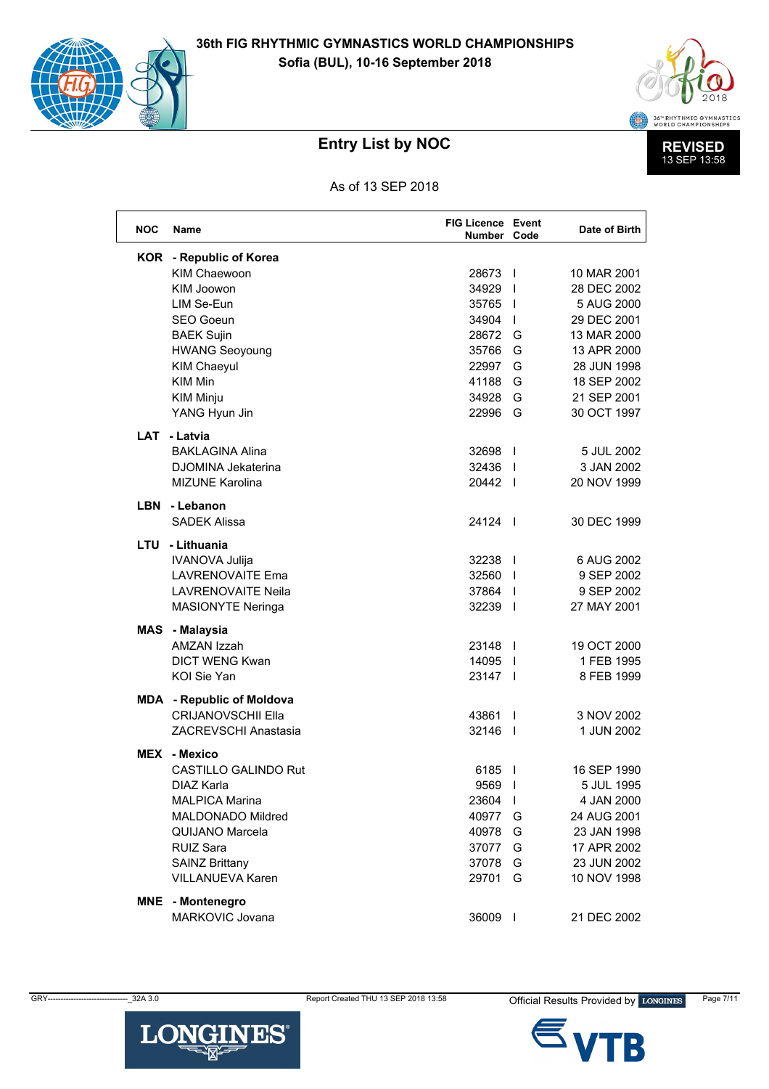



As of 13 SEP 2018

| <b>NOC</b> | Name                             | <b>FIG Licence Event</b><br>Number Code |                          | Date of Birth |
|------------|----------------------------------|-----------------------------------------|--------------------------|---------------|
|            | <b>KOR</b> - Republic of Korea   |                                         |                          |               |
|            | <b>KIM Chaewoon</b>              | 28673                                   | $\blacksquare$           | 10 MAR 2001   |
|            | KIM Joowon                       | 34929                                   | $\overline{\phantom{a}}$ | 28 DEC 2002   |
|            | LIM Se-Eun                       | 35765                                   | $\overline{1}$           | 5 AUG 2000    |
|            | <b>SEO Goeun</b>                 | 34904                                   | $\mathbf{I}$             | 29 DEC 2001   |
|            | <b>BAEK Sujin</b>                | 28672                                   | G                        | 13 MAR 2000   |
|            | <b>HWANG Seoyoung</b>            | 35766                                   | G                        | 13 APR 2000   |
|            | <b>KIM Chaeyul</b>               | 22997                                   | G                        | 28 JUN 1998   |
|            | <b>KIM Min</b>                   | 41188                                   | G                        | 18 SEP 2002   |
|            | <b>KIM Minju</b>                 | 34928                                   | G                        | 21 SEP 2001   |
|            | YANG Hyun Jin                    | 22996                                   | G                        | 30 OCT 1997   |
| LAT        | - Latvia                         |                                         |                          |               |
|            | <b>BAKLAGINA Alina</b>           | 32698                                   | $\overline{\phantom{a}}$ | 5 JUL 2002    |
|            | <b>DJOMINA Jekaterina</b>        | 32436                                   |                          | 3 JAN 2002    |
|            | <b>MIZUNE Karolina</b>           | 20442                                   |                          | 20 NOV 1999   |
|            | LBN - Lebanon                    |                                         |                          |               |
|            | <b>SADEK Alissa</b>              | 24124 1                                 |                          | 30 DEC 1999   |
|            | LTU - Lithuania                  |                                         |                          |               |
|            | <b>IVANOVA Julija</b>            | 32238                                   | $\overline{1}$           | 6 AUG 2002    |
|            | <b>LAVRENOVAITE Ema</b>          | 32560                                   |                          | 9 SEP 2002    |
|            | <b>LAVRENOVAITE Neila</b>        | 37864 l                                 |                          | 9 SEP 2002    |
|            | <b>MASIONYTE Neringa</b>         | 32239 l                                 |                          | 27 MAY 2001   |
| MAS        | - Malaysia                       |                                         |                          |               |
|            | AMZAN Izzah                      | 23148                                   |                          | 19 OCT 2000   |
|            | <b>DICT WENG Kwan</b>            | 14095                                   | $\blacksquare$           | 1 FEB 1995    |
|            | KOI Sie Yan                      | 23147                                   |                          | 8 FEB 1999    |
|            | <b>MDA</b> - Republic of Moldova |                                         |                          |               |
|            | <b>CRIJANOVSCHII Ella</b>        | 43861                                   | $\mathbf{I}$             | 3 NOV 2002    |
|            | <b>ZACREVSCHI Anastasia</b>      | 32146                                   | $\blacksquare$           | 1 JUN 2002    |
|            | <b>MEX</b> - Mexico              |                                         |                          |               |
|            | CASTILLO GALINDO Rut             | 6185                                    | $\overline{1}$           | 16 SEP 1990   |
|            | DIAZ Karla                       | 9569                                    | $\overline{1}$           | 5 JUL 1995    |
|            | <b>MALPICA Marina</b>            | 23604                                   | $\mathbf{I}$             | 4 JAN 2000    |
|            | MALDONADO Mildred                | 40977                                   | G                        | 24 AUG 2001   |
|            | QUIJANO Marcela                  | 40978                                   | G                        | 23 JAN 1998   |
|            | <b>RUIZ Sara</b>                 | 37077                                   | G                        | 17 APR 2002   |
|            | <b>SAINZ Brittany</b>            | 37078                                   | G                        | 23 JUN 2002   |
|            | VILLANUEVA Karen                 | 29701                                   | G                        | 10 NOV 1998   |
| MNE        | - Montenegro                     |                                         |                          |               |
|            | MARKOVIC Jovana                  | 36009 l                                 |                          | 21 DEC 2002   |

**LONGINES®** 

GRY-



Official Results Provided by LONGINES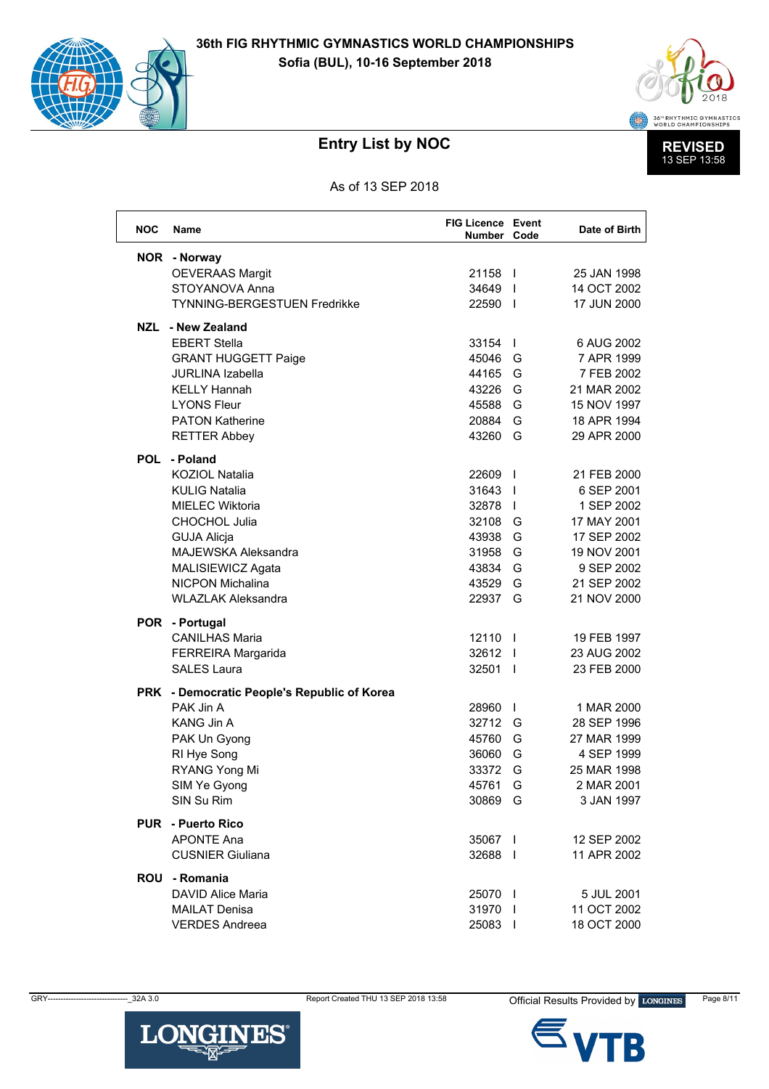



As of 13 SEP 2018

| <b>NOC</b> | <b>Name</b>                                 | <b>FIG Licence Event</b><br>Number Code |                          | Date of Birth |
|------------|---------------------------------------------|-----------------------------------------|--------------------------|---------------|
|            | NOR - Norway                                |                                         |                          |               |
|            | <b>OEVERAAS Margit</b>                      | 21158 l                                 |                          | 25 JAN 1998   |
|            | STOYANOVA Anna                              | 34649                                   |                          | 14 OCT 2002   |
|            | <b>TYNNING-BERGESTUEN Fredrikke</b>         | 22590                                   | $\blacksquare$           | 17 JUN 2000   |
|            | NZL - New Zealand                           |                                         |                          |               |
|            | <b>EBERT Stella</b>                         | 33154                                   | $\perp$                  | 6 AUG 2002    |
|            | <b>GRANT HUGGETT Paige</b>                  | 45046                                   | G                        | 7 APR 1999    |
|            | <b>JURLINA Izabella</b>                     | 44165                                   | G                        | 7 FEB 2002    |
|            | <b>KELLY Hannah</b>                         | 43226                                   | G                        | 21 MAR 2002   |
|            | <b>LYONS Fleur</b>                          | 45588                                   | G                        | 15 NOV 1997   |
|            | <b>PATON Katherine</b>                      | 20884                                   | G                        | 18 APR 1994   |
|            | <b>RETTER Abbey</b>                         | 43260                                   | G                        | 29 APR 2000   |
|            | POL - Poland                                |                                         |                          |               |
|            | <b>KOZIOL Natalia</b>                       | 22609                                   | $\blacksquare$           | 21 FEB 2000   |
|            | <b>KULIG Natalia</b>                        | 31643                                   | $\overline{\phantom{a}}$ | 6 SEP 2001    |
|            | <b>MIELEC Wiktoria</b>                      | 32878                                   | $\overline{\phantom{a}}$ | 1 SEP 2002    |
|            | <b>CHOCHOL Julia</b>                        | 32108                                   | G                        | 17 MAY 2001   |
|            | <b>GUJA Alicja</b>                          | 43938                                   | G                        | 17 SEP 2002   |
|            | <b>MAJEWSKA Aleksandra</b>                  | 31958                                   | G                        | 19 NOV 2001   |
|            | MALISIEWICZ Agata                           | 43834                                   | G                        | 9 SEP 2002    |
|            | <b>NICPON Michalina</b>                     | 43529                                   | G                        | 21 SEP 2002   |
|            | <b>WLAZLAK Aleksandra</b>                   | 22937                                   | G                        | 21 NOV 2000   |
|            | POR - Portugal                              |                                         |                          |               |
|            | <b>CANILHAS Maria</b>                       | 12110                                   | $\blacksquare$           | 19 FEB 1997   |
|            | FERREIRA Margarida                          | 32612                                   |                          | 23 AUG 2002   |
|            | <b>SALES Laura</b>                          | 32501 l                                 |                          | 23 FEB 2000   |
|            | PRK - Democratic People's Republic of Korea |                                         |                          |               |
|            | PAK Jin A                                   | 28960                                   | $\mathbf{I}$             | 1 MAR 2000    |
|            | <b>KANG Jin A</b>                           | 32712                                   | G                        | 28 SEP 1996   |
|            | PAK Un Gyong                                | 45760                                   | G                        | 27 MAR 1999   |
|            | RI Hye Song                                 | 36060                                   | G                        | 4 SEP 1999    |
|            | RYANG Yong Mi                               | 33372                                   | G                        | 25 MAR 1998   |
|            | SIM Ye Gyong                                | 45761                                   | G                        | 2 MAR 2001    |
|            | SIN Su Rim                                  | 30869                                   | G                        | 3 JAN 1997    |
|            | <b>PUR</b> - Puerto Rico                    |                                         |                          |               |
|            | <b>APONTE Ana</b>                           | 35067 I                                 |                          | 12 SEP 2002   |
|            | <b>CUSNIER Giuliana</b>                     | 32688 l                                 |                          | 11 APR 2002   |
|            | ROU - Romania                               |                                         |                          |               |
|            | <b>DAVID Alice Maria</b>                    | 25070 l                                 |                          | 5 JUL 2001    |
|            | <b>MAILAT Denisa</b>                        | 31970 l                                 |                          | 11 OCT 2002   |
|            | <b>VERDES Andreea</b>                       | 25083                                   |                          | 18 OCT 2000   |

GRY-



B

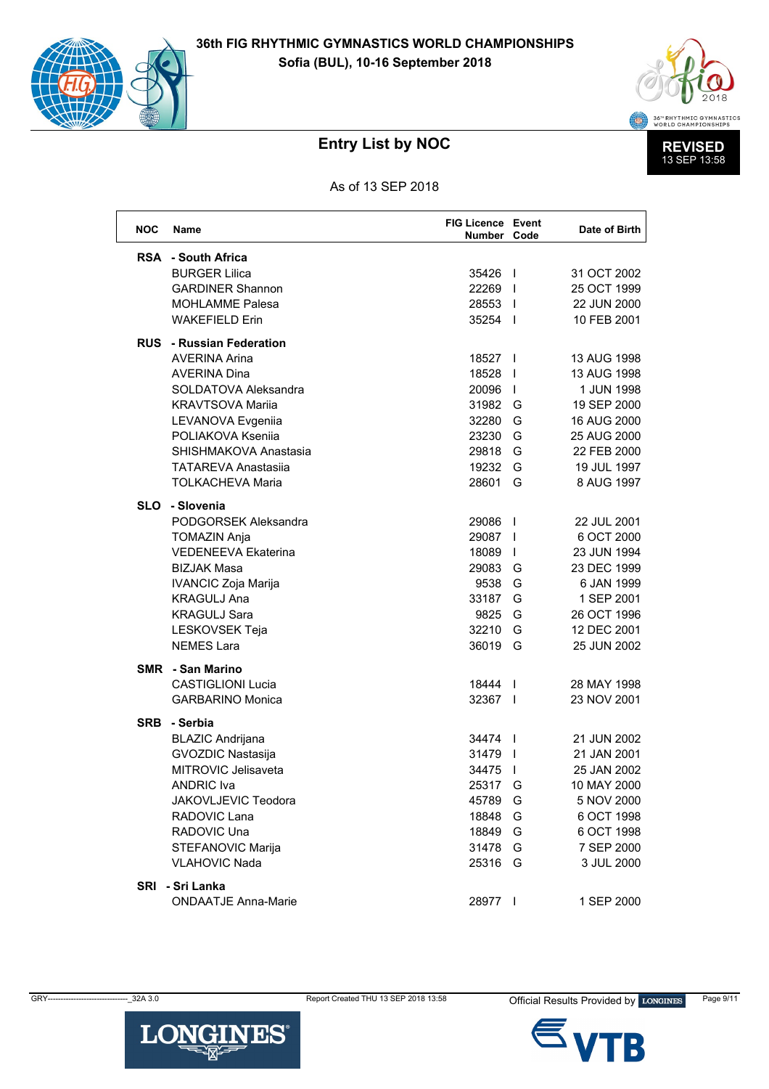



As of 13 SEP 2018

| <b>NOC</b> | <b>Name</b>                     | <b>FIG Licence Event</b><br>Number Code |                          | Date of Birth |
|------------|---------------------------------|-----------------------------------------|--------------------------|---------------|
|            | <b>RSA</b> - South Africa       |                                         |                          |               |
|            | <b>BURGER Lilica</b>            | 35426                                   | $\blacksquare$           | 31 OCT 2002   |
|            | <b>GARDINER Shannon</b>         | 22269                                   |                          | 25 OCT 1999   |
|            | <b>MOHLAMME Palesa</b>          | 28553                                   |                          | 22 JUN 2000   |
|            | <b>WAKEFIELD Erin</b>           | 35254                                   |                          | 10 FEB 2001   |
|            | <b>RUS</b> - Russian Federation |                                         |                          |               |
|            | <b>AVERINA Arina</b>            | 18527                                   |                          | 13 AUG 1998   |
|            | <b>AVERINA Dina</b>             | 18528                                   | $\perp$                  | 13 AUG 1998   |
|            | SOLDATOVA Aleksandra            | 20096                                   | $\perp$                  | 1 JUN 1998    |
|            | <b>KRAVTSOVA Marija</b>         | 31982                                   | G                        | 19 SEP 2000   |
|            | LEVANOVA Evgeniia               | 32280                                   | G                        | 16 AUG 2000   |
|            | POLIAKOVA Ksenija               | 23230                                   | G                        | 25 AUG 2000   |
|            | SHISHMAKOVA Anastasia           | 29818                                   | G                        | 22 FEB 2000   |
|            | <b>TATAREVA Anastasija</b>      | 19232                                   | G                        | 19 JUL 1997   |
|            | <b>TOLKACHEVA Maria</b>         | 28601                                   | G                        | 8 AUG 1997    |
| <b>SLO</b> | - Slovenia                      |                                         |                          |               |
|            | PODGORSEK Aleksandra            | 29086                                   | $\mathbf{I}$             | 22 JUL 2001   |
|            | <b>TOMAZIN Anja</b>             | 29087                                   |                          | 6 OCT 2000    |
|            | <b>VEDENEEVA Ekaterina</b>      | 18089                                   | $\mathbf{I}$             | 23 JUN 1994   |
|            | <b>BIZJAK Masa</b>              | 29083                                   | G                        | 23 DEC 1999   |
|            | IVANCIC Zoja Marija             | 9538                                    | G                        | 6 JAN 1999    |
|            | <b>KRAGULJ Ana</b>              | 33187                                   | G                        | 1 SEP 2001    |
|            | <b>KRAGULJ Sara</b>             | 9825                                    | G                        | 26 OCT 1996   |
|            | LESKOVSEK Teja                  | 32210                                   | G                        | 12 DEC 2001   |
|            | <b>NEMES Lara</b>               | 36019                                   | G                        | 25 JUN 2002   |
|            | <b>SMR</b> - San Marino         |                                         |                          |               |
|            | <b>CASTIGLIONI Lucia</b>        | 18444                                   | $\Box$                   | 28 MAY 1998   |
|            | <b>GARBARINO Monica</b>         | 32367                                   |                          | 23 NOV 2001   |
| <b>SRB</b> | - Serbia                        |                                         |                          |               |
|            | <b>BLAZIC Andrijana</b>         | 34474                                   | $\blacksquare$           | 21 JUN 2002   |
|            | <b>GVOZDIC Nastasija</b>        | 31479                                   | $\overline{\phantom{a}}$ | 21 JAN 2001   |
|            | MITROVIC Jelisaveta             | 34475                                   | $\overline{1}$           | 25 JAN 2002   |
|            | <b>ANDRIC Iva</b>               | 25317                                   | G                        | 10 MAY 2000   |
|            | JAKOVLJEVIC Teodora             | 45789                                   | G                        | 5 NOV 2000    |
|            | RADOVIC Lana                    | 18848                                   | G                        | 6 OCT 1998    |
|            | RADOVIC Una                     | 18849                                   | G                        | 6 OCT 1998    |
|            | STEFANOVIC Marija               | 31478                                   | G                        | 7 SEP 2000    |
|            | <b>VLAHOVIC Nada</b>            | 25316 G                                 |                          | 3 JUL 2000    |
|            | SRI - Sri Lanka                 |                                         |                          |               |
|            | <b>ONDAATJE Anna-Marie</b>      | 28977                                   |                          | 1 SEP 2000    |

**LONGINES®** 

GRY-



B

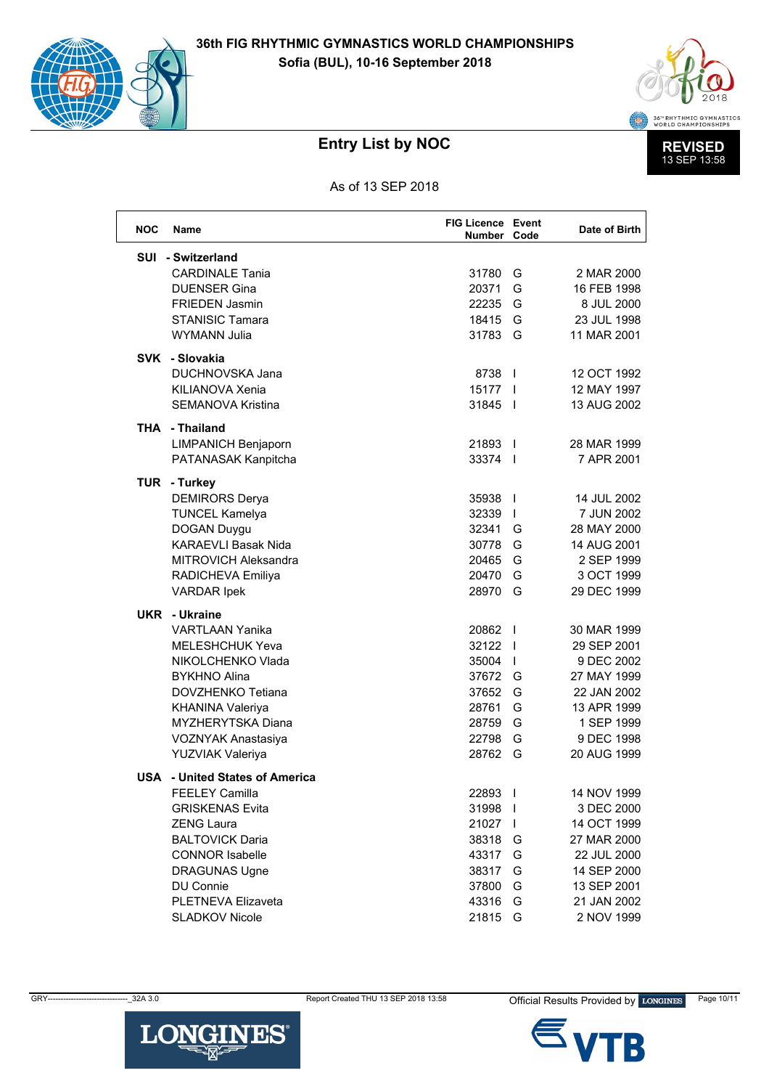



As of 13 SEP 2018

| <b>NOC</b> | <b>Name</b>                           | <b>FIG Licence Event</b><br>Number Code |                | Date of Birth |
|------------|---------------------------------------|-----------------------------------------|----------------|---------------|
|            | SUI - Switzerland                     |                                         |                |               |
|            | <b>CARDINALE Tania</b>                | 31780                                   | G              | 2 MAR 2000    |
|            | <b>DUENSER Gina</b>                   | 20371                                   | G              | 16 FEB 1998   |
|            | <b>FRIEDEN Jasmin</b>                 | 22235                                   | G              | 8 JUL 2000    |
|            | <b>STANISIC Tamara</b>                | 18415                                   | G              | 23 JUL 1998   |
|            | <b>WYMANN Julia</b>                   | 31783                                   | G              | 11 MAR 2001   |
|            | SVK - Slovakia                        |                                         |                |               |
|            | <b>DUCHNOVSKA Jana</b>                | 8738 1                                  |                | 12 OCT 1992   |
|            | KILIANOVA Xenia                       | 15177                                   |                | 12 MAY 1997   |
|            | <b>SEMANOVA Kristina</b>              | 31845                                   | $\blacksquare$ | 13 AUG 2002   |
|            |                                       |                                         |                |               |
|            | <b>THA - Thailand</b>                 |                                         |                |               |
|            | <b>LIMPANICH Benjaporn</b>            | 21893                                   |                | 28 MAR 1999   |
|            | PATANASAK Kanpitcha                   | 33374                                   |                | 7 APR 2001    |
|            | TUR - Turkey                          |                                         |                |               |
|            | <b>DEMIRORS Derya</b>                 | 35938                                   | $\overline{1}$ | 14 JUL 2002   |
|            | <b>TUNCEL Kamelya</b>                 | 32339                                   |                | 7 JUN 2002    |
|            | DOGAN Duygu                           | 32341                                   | G              | 28 MAY 2000   |
|            | <b>KARAEVLI Basak Nida</b>            | 30778                                   | G              | 14 AUG 2001   |
|            | MITROVICH Aleksandra                  | 20465                                   | G              | 2 SEP 1999    |
|            | RADICHEVA Emiliya                     | 20470                                   | G              | 3 OCT 1999    |
|            | <b>VARDAR Ipek</b>                    | 28970                                   | G              | 29 DEC 1999   |
|            | <b>UKR</b> - Ukraine                  |                                         |                |               |
|            | <b>VARTLAAN Yanika</b>                | 20862                                   | $\blacksquare$ | 30 MAR 1999   |
|            | <b>MELESHCHUK Yeva</b>                | 32122                                   |                | 29 SEP 2001   |
|            | NIKOLCHENKO Vlada                     | 35004                                   |                | 9 DEC 2002    |
|            | <b>BYKHNO Alina</b>                   | 37672 G                                 |                | 27 MAY 1999   |
|            | DOVZHENKO Tetiana                     | 37652                                   | G              | 22 JAN 2002   |
|            | <b>KHANINA Valeriya</b>               | 28761                                   | G              | 13 APR 1999   |
|            | <b>MYZHERYTSKA Diana</b>              | 28759                                   | G              | 1 SEP 1999    |
|            | <b>VOZNYAK Anastasiya</b>             | 22798                                   | G              | 9 DEC 1998    |
|            | <b>YUZVIAK Valeriya</b>               | 28762                                   | G              | 20 AUG 1999   |
|            |                                       |                                         |                |               |
|            | <b>USA</b> - United States of America |                                         |                |               |
|            | FEELEY Camilla                        | 22893                                   |                | 14 NOV 1999   |
|            | <b>GRISKENAS Evita</b>                | 31998                                   |                | 3 DEC 2000    |
|            | <b>ZENG Laura</b>                     | 21027                                   | $\Box$         | 14 OCT 1999   |
|            | <b>BALTOVICK Daria</b>                | 38318                                   | G              | 27 MAR 2000   |
|            | <b>CONNOR Isabelle</b>                | 43317                                   | G              | 22 JUL 2000   |
|            | <b>DRAGUNAS Ugne</b>                  | 38317                                   | G              | 14 SEP 2000   |
|            | DU Connie                             | 37800                                   | G              | 13 SEP 2001   |
|            | PLETNEVA Elizaveta                    | 43316                                   | G              | 21 JAN 2002   |
|            | <b>SLADKOV Nicole</b>                 | 21815                                   | G              | 2 NOV 1999    |